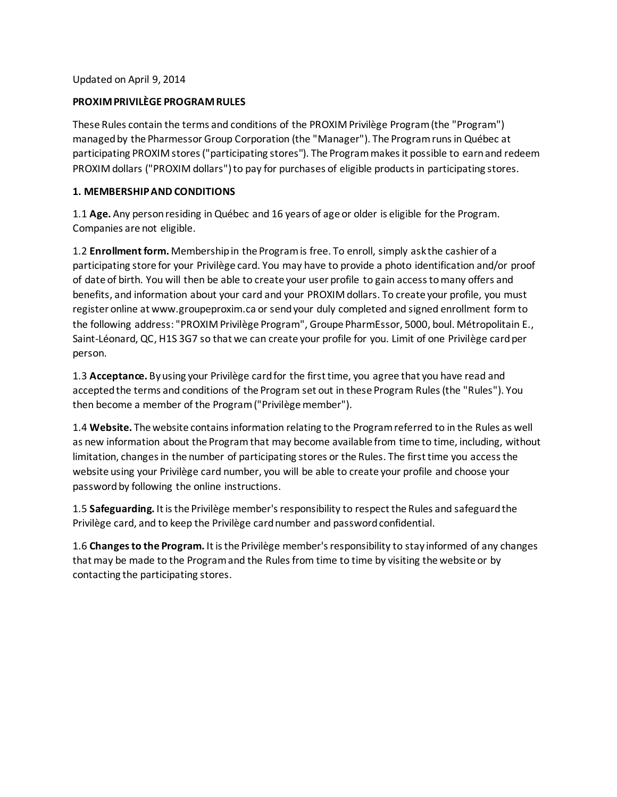### Updated on April 9, 2014

## **PROXIM PRIVILÈGE PROGRAM RULES**

These Rules contain the terms and conditions of the PROXIM Privilège Program (the "Program") managed by the Pharmessor Group Corporation (the "Manager"). The Program runs in Québec at participating PROXIM stores ("participating stores"). The Program makes it possible to earnand redeem PROXIM dollars ("PROXIM dollars") to pay for purchases of eligible products in participating stores.

## **1. MEMBERSHIP AND CONDITIONS**

1.1 **Age.** Any person residing in Québec and 16 years of age or older is eligible for the Program. Companies are not eligible.

1.2 **Enrollmentform.** Membershipin the Program is free. To enroll, simply ask the cashier of a participating store for your Privilège card. You may have to provide a photo identification and/or proof of date of birth. You will then be able to create your user profile to gain access tomany offers and benefits, and information about your card and your PROXIM dollars. To create your profile, you must register online at www.groupeproxim.ca or send your duly completed and signed enrollment form to the following address: "PROXIM Privilège Program", Groupe PharmEssor, 5000, boul. Métropolitain E., Saint-Léonard, QC, H1S 3G7 so that we can create your profile for you. Limit of one Privilège card per person.

1.3 **Acceptance.** Byusing your Privilège card for the first time, you agree that you have read and accepted the terms and conditions of the Program set out in these Program Rules (the "Rules"). You then become a member of the Program ("Privilège member").

1.4 **Website.** The website containsinformation relating to the Program referred to in the Rules as well as new information about the Program that may become available from time to time, including, without limitation, changes in the number of participating stores or the Rules. The first time you access the website using your Privilège card number, you will be able to create your profile and choose your password by following the online instructions.

1.5 **Safeguarding.** It is the Privilège member's responsibility to respect the Rules and safeguard the Privilège card, and to keep the Privilège card number and password confidential.

1.6 **Changes to the Program.** It is the Privilège member's responsibility to stay informed of any changes that may be made to the Program and the Rules from time to time by visiting the website or by contacting the participating stores.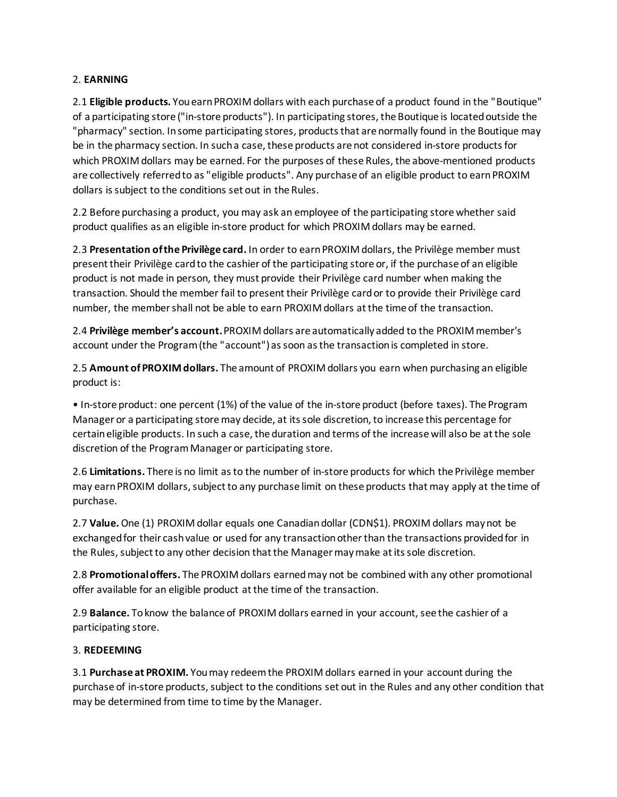## 2. **EARNING**

2.1 **Eligible products.** You earn PROXIM dollars with each purchase of a product found in the "Boutique" of a participating store ("in-store products"). In participating stores, the Boutique is located outside the "pharmacy" section. In some participating stores, products that are normally found in the Boutique may be in the pharmacy section. In such a case, these products are not considered in-store products for which PROXIM dollars may be earned. For the purposes of these Rules, the above-mentioned products are collectively referred to as "eligible products". Any purchase of an eligible product to earn PROXIM dollars is subject to the conditions set out in the Rules.

2.2 Before purchasing a product, you may ask an employee of the participating store whether said product qualifies as an eligible in-store product for which PROXIM dollars may be earned.

2.3 **Presentation of the Privilège card.** In order to earnPROXIM dollars, the Privilège member must present their Privilège card to the cashier of the participating store or, if the purchase of an eligible product is not made in person, they must provide their Privilège card number when making the transaction. Should the member fail to present their Privilège card or to provide their Privilège card number, the member shall not be able to earn PROXIM dollars at the time of the transaction.

2.4 **Privilège member's account.**PROXIM dollars are automatically added to the PROXIM member's account under the Program (the "account") as soon as the transaction is completed in store.

2.5 **Amount ofPROXIMdollars.** The amount of PROXIM dollars you earn when purchasing an eligible product is:

• In-store product: one percent (1%) of the value of the in-store product (before taxes). The Program Manager or a participating store may decide, at its sole discretion, to increase this percentage for certain eligible products. In such a case, the duration and terms of the increase will also be at the sole discretion of the Program Manager or participating store.

2.6 **Limitations.** There is no limit as to the number of in-store products for which the Privilège member may earn PROXIM dollars, subject to any purchase limit on these products that may apply at the time of purchase.

2.7 **Value.**One (1) PROXIM dollar equals one Canadian dollar (CDN\$1). PROXIM dollars may not be exchanged for their cash value or used for any transaction other than the transactions provided for in the Rules, subject to any other decision that the Manager may make at its sole discretion.

2.8 **Promotional offers.** The PROXIM dollars earned may not be combined with any other promotional offer available for an eligible product at the time of the transaction.

2.9 **Balance.** To know the balance of PROXIM dollars earned in your account, see the cashier of a participating store.

# 3. **REDEEMING**

3.1 **Purchase at PROXIM.** You may redeemthe PROXIM dollars earned in your account during the purchase of in-store products, subject to the conditions set out in the Rules and any other condition that may be determined from time to time by the Manager.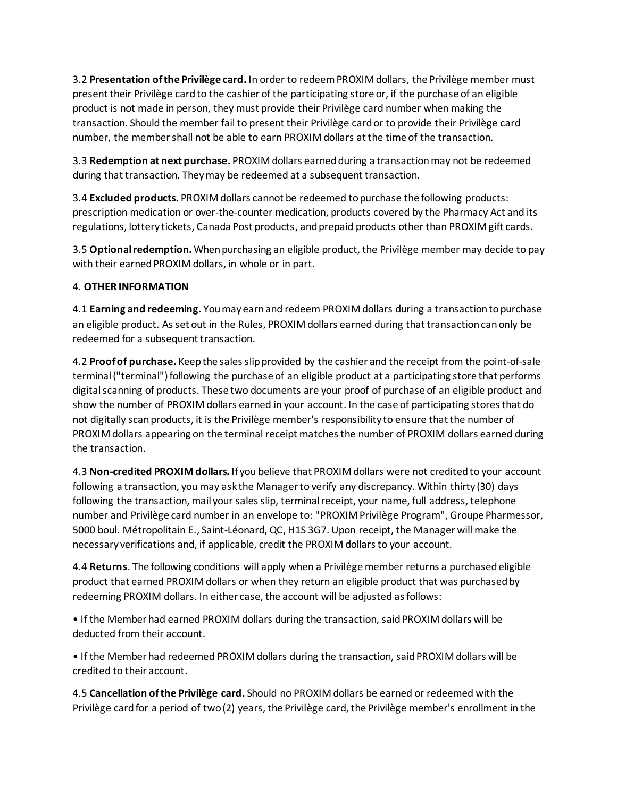3.2 **Presentation of the Privilège card.** In order to redeemPROXIM dollars, the Privilège member must present their Privilège card to the cashier of the participating store or, if the purchase of an eligible product is not made in person, they must provide their Privilège card number when making the transaction. Should the member fail to present their Privilège card or to provide their Privilège card number, the member shall not be able to earn PROXIM dollars at the time of the transaction.

3.3 **Redemption at next purchase.** PROXIM dollars earnedduring a transaction may not be redeemed during that transaction. They may be redeemed at a subsequent transaction.

3.4 **Excluded products.** PROXIM dollars cannot be redeemed to purchase the following products: prescription medication or over-the-counter medication, products covered by the Pharmacy Act and its regulations, lottery tickets, Canada Post products, and prepaid products other than PROXIM gift cards.

3.5 **Optional redemption.** When purchasing an eligible product, the Privilège member may decide to pay with their earned PROXIM dollars, in whole or in part.

# 4. **OTHER INFORMATION**

4.1 **Earning and redeeming.** You may earn and redeem PROXIM dollars during a transaction to purchase an eligible product. As set out in the Rules, PROXIM dollars earned during that transaction canonly be redeemed for a subsequent transaction.

4.2 **Proof of purchase.** Keep the sales slip provided by the cashier and the receipt from the point-of-sale terminal ("terminal") following the purchase of an eligible product at a participating store that performs digital scanning of products. These two documents are your proof of purchase of an eligible product and show the number of PROXIM dollars earned in your account. In the case of participating stores that do not digitally scan products, it is the Privilège member's responsibility to ensure that the number of PROXIM dollars appearing on the terminal receipt matches the number of PROXIM dollars earned during the transaction.

4.3 **Non-credited PROXIMdollars.** If you believe that PROXIM dollars were not credited to your account following a transaction, you may ask the Manager to verify any discrepancy. Within thirty (30) days following the transaction, mail your sales slip, terminal receipt, your name, full address, telephone number and Privilège card number in an envelope to: "PROXIM Privilège Program", Groupe Pharmessor, 5000 boul. Métropolitain E., Saint-Léonard, QC, H1S 3G7. Upon receipt, the Manager will make the necessary verifications and, if applicable, credit the PROXIM dollars to your account.

4.4 **Returns**. The following conditions will apply when a Privilège member returns a purchasedeligible product that earned PROXIM dollars or when they return an eligible product that was purchased by redeeming PROXIM dollars. In either case, the account will be adjusted as follows:

• If the Member had earned PROXIM dollars during the transaction, saidPROXIM dollars will be deducted from their account.

• If the Member had redeemed PROXIM dollars during the transaction, said PROXIM dollars will be credited to their account.

4.5 **Cancellation of the Privilège card.** Should no PROXIM dollars be earned or redeemed with the Privilège card for a period of two (2) years, the Privilège card, the Privilège member's enrollment in the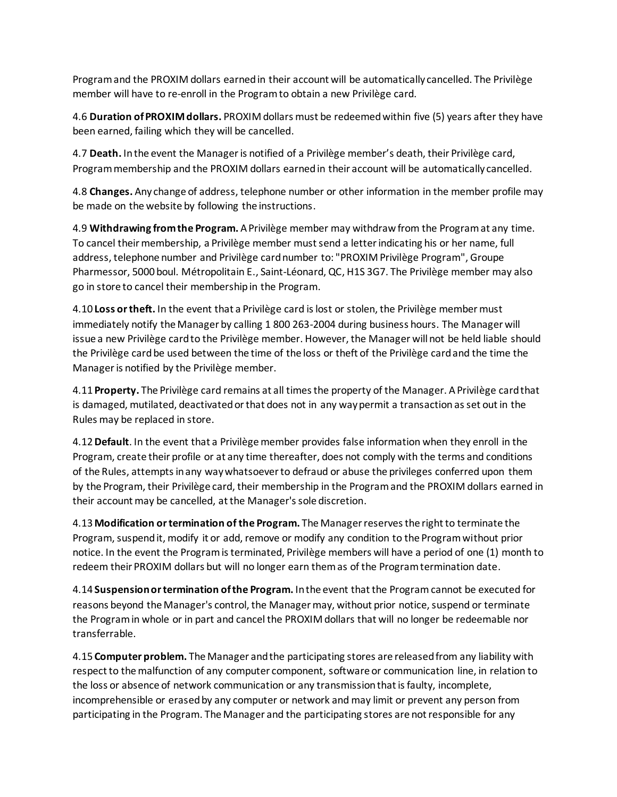Program and the PROXIM dollars earnedin their account will be automatically cancelled. The Privilège member will have to re-enroll in the Program to obtain a new Privilège card.

4.6 **Duration ofPROXIMdollars.** PROXIM dollars must be redeemedwithin five (5) years after they have been earned, failing which they will be cancelled.

4.7 **Death.** In the event the Manager is notified of a Privilège member's death, their Privilège card, Program membership and the PROXIM dollars earnedin their account will be automatically cancelled.

4.8 **Changes.** Any change of address, telephone number or other information in the member profile may be made on the website by following the instructions.

4.9 **Withdrawing from the Program.** A Privilège member may withdraw from the Program at any time. To cancel their membership, a Privilège member must send a letter indicating his or her name, full address, telephone number and Privilège card number to: "PROXIM Privilège Program", Groupe Pharmessor, 5000 boul. Métropolitain E., Saint-Léonard, QC, H1S 3G7. The Privilège member may also go in store to cancel their membershipin the Program.

4.10 **Loss or theft.** In the event that a Privilège card is lost or stolen, the Privilège member must immediately notify the Manager by calling 1 800 263-2004 during business hours. The Manager will issue a new Privilège card to the Privilège member. However, the Manager will not be held liable should the Privilège card be used between the time of the loss or theft of the Privilège card and the time the Manager is notified by the Privilège member.

4.11 **Property.** The Privilège card remains at all times the property of the Manager. A Privilège card that is damaged, mutilated, deactivated or that does not in any way permit a transaction as set out in the Rules may be replaced in store.

4.12 **Default**. In the event that a Privilège member provides false information when they enroll in the Program, create their profile or at any time thereafter, does not comply with the terms and conditions of the Rules, attempts in any way whatsoever to defraud or abuse the privileges conferred upon them by the Program, their Privilège card, their membership in the Program and the PROXIM dollars earned in their account may be cancelled, at the Manager's sole discretion.

4.13 **Modification or termination of the Program.** The Manager reserves the right to terminate the Program, suspend it, modify it or add, remove or modify any condition to the Program without prior notice. In the event the Program is terminated, Privilège members will have a period of one (1) month to redeem their PROXIM dollars but will no longer earn them as of the Program termination date.

4.14 **Suspension or termination of the Program.** In the event that the Program cannot be executed for reasons beyond the Manager's control, the Manager may, without prior notice, suspend or terminate the Program in whole or in part and cancel the PROXIM dollars that will no longer be redeemable nor transferrable.

4.15 **Computer problem.** The Manager and the participating stores are released from any liability with respect to the malfunction of any computer component, software or communication line, in relation to the loss or absence of network communication or any transmission that is faulty, incomplete, incomprehensible or erased by any computer or network and may limit or prevent any person from participating in the Program. The Manager and the participating stores are not responsible for any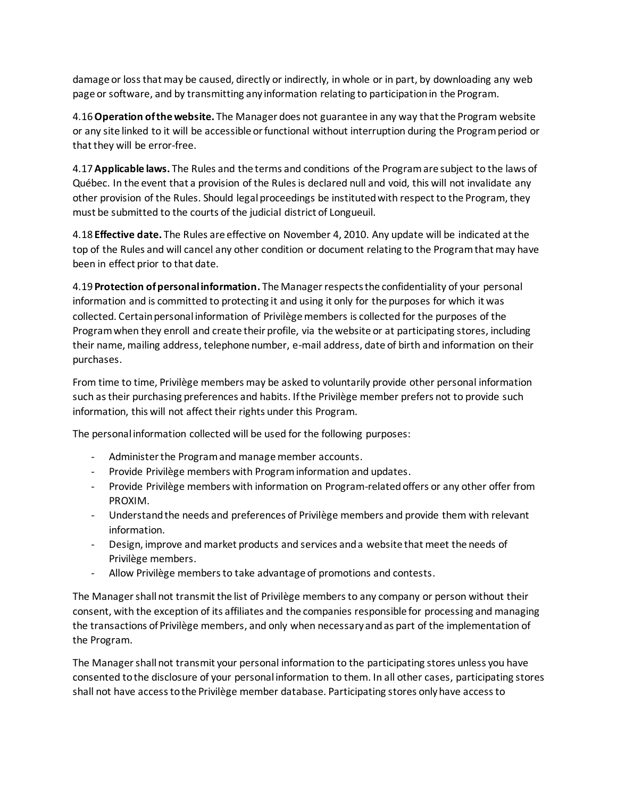damage or loss that may be caused, directly or indirectly, in whole or in part, by downloading any web page or software, and by transmitting any information relating to participation in the Program.

4.16 **Operation of the website.** The Manager does not guarantee in any way that the Program website or any site linked to it will be accessible or functional without interruption during the Program period or that they will be error-free.

4.17 **Applicable laws.** The Rules and the terms and conditions of the Program are subject to the laws of Québec. In the event that a provision of the Rules is declared null and void, this will not invalidate any other provision of the Rules. Should legal proceedings be instituted with respect to the Program, they must be submitted to the courts of the judicial district of Longueuil.

4.18 **Effective date.** The Rules are effective on November 4, 2010. Any update will be indicated at the top of the Rules and will cancel any other condition or document relating to the Program that may have been in effect prior to that date.

4.19 **Protection of personal information.** The Manager respectsthe confidentiality of your personal information and is committed to protecting it and using it only for the purposes for which it was collected. Certain personal information of Privilège members is collected for the purposes of the Program when they enroll and create their profile, via the website or at participating stores, including their name, mailing address, telephone number, e-mail address, date of birth and information on their purchases.

From time to time, Privilège members may be asked to voluntarily provide other personal information such as their purchasing preferences and habits. If the Privilège member prefers not to provide such information, this will not affect their rights under this Program.

The personal information collected will be used for the following purposes:

- Administer the Program and manage member accounts.
- Provide Privilège members with Program information and updates.
- Provide Privilège members with information on Program-relatedoffers or any other offer from PROXIM.
- Understand the needs and preferences of Privilège members and provide them with relevant information.
- Design, improve and market products and services and a website that meet the needs of Privilège members.
- Allow Privilège members to take advantage of promotions and contests.

The Manager shallnot transmit the list of Privilège members to any company or person without their consent, with the exception of its affiliates and the companies responsible for processing and managing the transactions of Privilège members, and only when necessary and as part of the implementation of the Program.

The Manager shall not transmit your personal information to the participating stores unless you have consented to the disclosure of your personal information to them. In all other cases, participating stores shall not have access to the Privilège member database. Participating stores only have access to